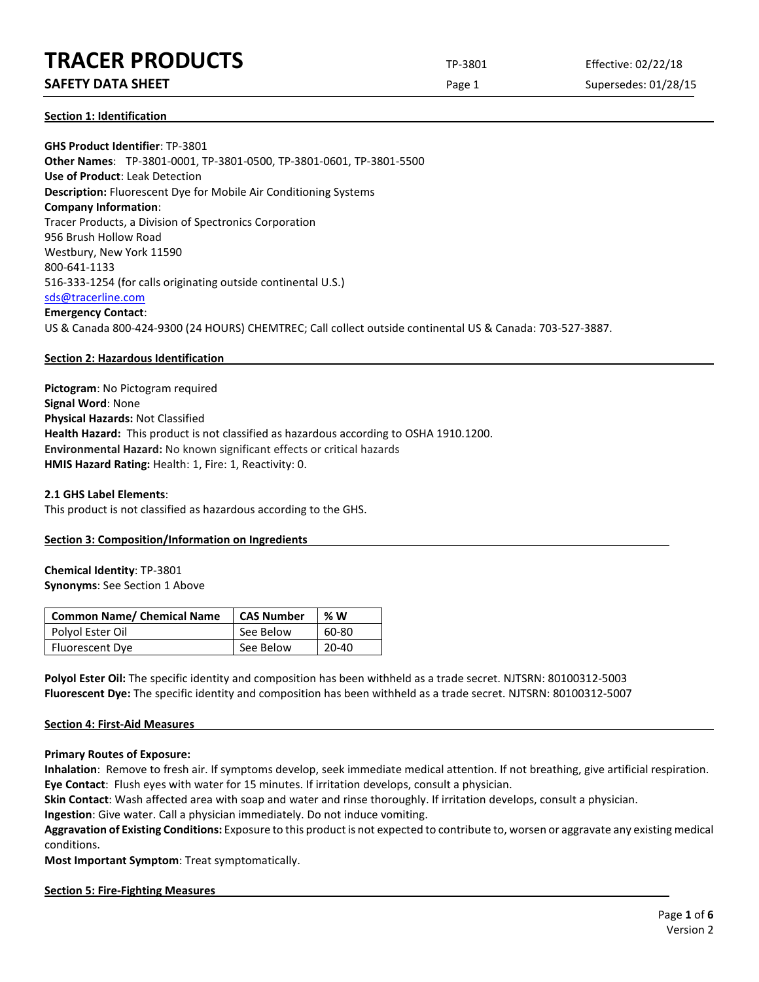### **SAFETY DATA SHEET** SUPERFOUR CONSUMING THE Page 1 Supersedes: 01/28/15

**Section 1: Identification**

**GHS Product Identifier**: TP-3801 **Other Names**: TP-3801-0001, TP-3801-0500, TP-3801-0601, TP-3801-5500 **Use of Product**: Leak Detection **Description:** Fluorescent Dye for Mobile Air Conditioning Systems **Company Information**: Tracer Products, a Division of Spectronics Corporation 956 Brush Hollow Road Westbury, New York 11590 800-641-1133 516-333-1254 (for calls originating outside continental U.S.) [sds@tracerline.com](mailto:sds@tracerline.com) **Emergency Contact**: US & Canada 800-424-9300 (24 HOURS) CHEMTREC; Call collect outside continental US & Canada: 703-527-3887.

#### **Section 2: Hazardous Identification**

**Pictogram**: No Pictogram required **Signal Word**: None **Physical Hazards:** Not Classified **Health Hazard:** This product is not classified as hazardous according to OSHA 1910.1200. **Environmental Hazard:** No known significant effects or critical hazards **HMIS Hazard Rating:** Health: 1, Fire: 1, Reactivity: 0.

**2.1 GHS Label Elements**: This product is not classified as hazardous according to the GHS.

#### **Section 3: Composition/Information on Ingredients**

#### **Chemical Identity**: TP-3801 **Synonyms**: See Section 1 Above

| <b>Common Name/ Chemical Name</b> | <b>CAS Number</b> | %W    |
|-----------------------------------|-------------------|-------|
| Polyol Ester Oil                  | See Below         | 60-80 |
| <b>Fluorescent Dye</b>            | See Below         | 20-40 |

**Polyol Ester Oil:** The specific identity and composition has been withheld as a trade secret. NJTSRN: 80100312-5003 **Fluorescent Dye:** The specific identity and composition has been withheld as a trade secret. NJTSRN: 80100312-5007

#### **Section 4: First-Aid Measures**

**Primary Routes of Exposure:**

**Inhalation**: Remove to fresh air. If symptoms develop, seek immediate medical attention. If not breathing, give artificial respiration. **Eye Contact**: Flush eyes with water for 15 minutes. If irritation develops, consult a physician.

**Skin Contact**: Wash affected area with soap and water and rinse thoroughly. If irritation develops, consult a physician.

**Ingestion**: Give water. Call a physician immediately. Do not induce vomiting.

**Aggravation of Existing Conditions:** Exposure to this product is not expected to contribute to, worsen or aggravate any existing medical conditions.

**Most Important Symptom**: Treat symptomatically.

#### **Section 5: Fire-Fighting Measures**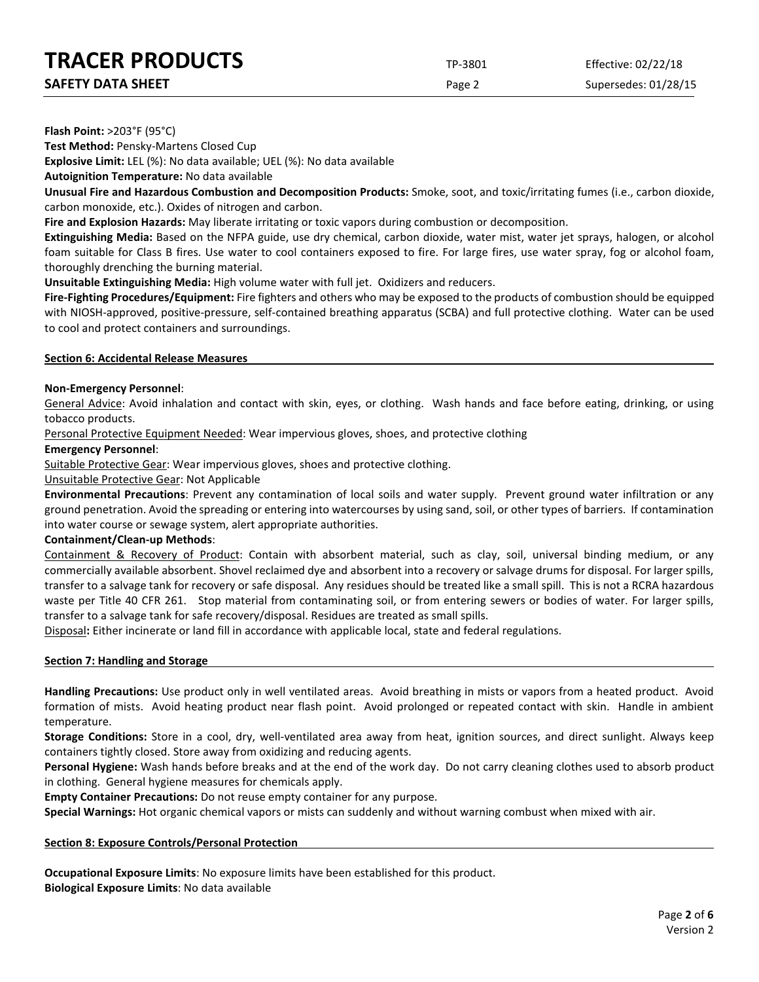| <b>SAFETY DATA SHEET</b> |  |
|--------------------------|--|
|                          |  |

Page 2 Supersedes: 01/28/15

**Flash Point:** >203°F (95°C)

**Test Method:** Pensky-Martens Closed Cup

**Explosive Limit:** LEL (%): No data available; UEL (%): No data available

**Autoignition Temperature:** No data available

**Unusual Fire and Hazardous Combustion and Decomposition Products:** Smoke, soot, and toxic/irritating fumes (i.e., carbon dioxide, carbon monoxide, etc.). Oxides of nitrogen and carbon.

**Fire and Explosion Hazards:** May liberate irritating or toxic vapors during combustion or decomposition.

**Extinguishing Media:** Based on the NFPA guide, use dry chemical, carbon dioxide, water mist, water jet sprays, halogen, or alcohol foam suitable for Class B fires. Use water to cool containers exposed to fire. For large fires, use water spray, fog or alcohol foam, thoroughly drenching the burning material.

**Unsuitable Extinguishing Media:** High volume water with full jet. Oxidizers and reducers.

**Fire-Fighting Procedures/Equipment:** Fire fighters and others who may be exposed to the products of combustion should be equipped with NIOSH-approved, positive-pressure, self-contained breathing apparatus (SCBA) and full protective clothing. Water can be used to cool and protect containers and surroundings.

#### **Section 6: Accidental Release Measures**

#### **Non-Emergency Personnel**:

General Advice: Avoid inhalation and contact with skin, eyes, or clothing. Wash hands and face before eating, drinking, or using tobacco products.

Personal Protective Equipment Needed: Wear impervious gloves, shoes, and protective clothing

#### **Emergency Personnel**:

Suitable Protective Gear: Wear impervious gloves, shoes and protective clothing.

#### Unsuitable Protective Gear: Not Applicable

**Environmental Precautions**: Prevent any contamination of local soils and water supply. Prevent ground water infiltration or any ground penetration. Avoid the spreading or entering into watercourses by using sand, soil, or other types of barriers. If contamination into water course or sewage system, alert appropriate authorities.

#### **Containment/Clean-up Methods**:

Containment & Recovery of Product: Contain with absorbent material, such as clay, soil, universal binding medium, or any commercially available absorbent. Shovel reclaimed dye and absorbent into a recovery or salvage drums for disposal. For larger spills, transfer to a salvage tank for recovery or safe disposal. Any residues should be treated like a small spill. This is not a RCRA hazardous waste per Title 40 CFR 261. Stop material from contaminating soil, or from entering sewers or bodies of water. For larger spills, transfer to a salvage tank for safe recovery/disposal. Residues are treated as small spills.

Disposal**:** Either incinerate or land fill in accordance with applicable local, state and federal regulations.

#### **Section 7: Handling and Storage**

**Handling Precautions:** Use product only in well ventilated areas. Avoid breathing in mists or vapors from a heated product. Avoid formation of mists. Avoid heating product near flash point. Avoid prolonged or repeated contact with skin. Handle in ambient temperature.

**Storage Conditions:** Store in a cool, dry, well-ventilated area away from heat, ignition sources, and direct sunlight. Always keep containers tightly closed. Store away from oxidizing and reducing agents.

**Personal Hygiene:** Wash hands before breaks and at the end of the work day. Do not carry cleaning clothes used to absorb product in clothing. General hygiene measures for chemicals apply.

**Empty Container Precautions:** Do not reuse empty container for any purpose.

**Special Warnings:** Hot organic chemical vapors or mists can suddenly and without warning combust when mixed with air.

#### **Section 8: Exposure Controls/Personal Protection**

**Occupational Exposure Limits**: No exposure limits have been established for this product. **Biological Exposure Limits**: No data available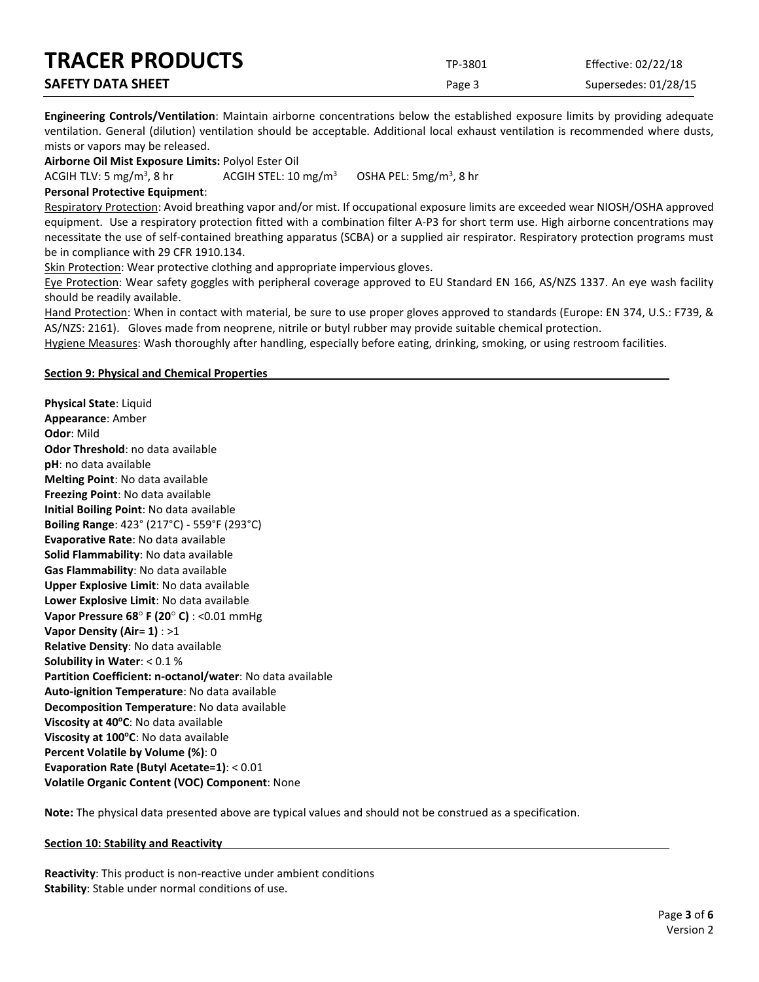| <b>TRACER PRODUCTS</b>   | TP-3801 | Effective: 02/22/18  |
|--------------------------|---------|----------------------|
| <b>SAFETY DATA SHEET</b> | Page 3  | Supersedes: 01/28/15 |

**Engineering Controls/Ventilation**: Maintain airborne concentrations below the established exposure limits by providing adequate ventilation. General (dilution) ventilation should be acceptable. Additional local exhaust ventilation is recommended where dusts, mists or vapors may be released.

**Airborne Oil Mist Exposure Limits:** Polyol Ester Oil

ACGIH TLV: 5 mg/m<sup>3</sup>, 8 hr ACGIH STEL:  $10 \text{ mg/m}^3$ OSHA PEL:  $5mg/m<sup>3</sup>$ , 8 hr

#### **Personal Protective Equipment**:

Respiratory Protection: Avoid breathing vapor and/or mist. If occupational exposure limits are exceeded wear NIOSH/OSHA approved equipment. Use a respiratory protection fitted with a combination filter A-P3 for short term use. High airborne concentrations may necessitate the use of self-contained breathing apparatus (SCBA) or a supplied air respirator. Respiratory protection programs must be in compliance with 29 CFR 1910.134.

Skin Protection: Wear protective clothing and appropriate impervious gloves.

Eye Protection: Wear safety goggles with peripheral coverage approved to EU Standard EN 166, AS/NZS 1337. An eye wash facility should be readily available.

Hand Protection: When in contact with material, be sure to use proper gloves approved to standards (Europe: EN 374, U.S.: F739, & AS/NZS: 2161). Gloves made from neoprene, nitrile or butyl rubber may provide suitable chemical protection.

Hygiene Measures: Wash thoroughly after handling, especially before eating, drinking, smoking, or using restroom facilities.

#### **Section 9: Physical and Chemical Properties**

**Physical State**: Liquid **Appearance**: Amber **Odor**: Mild **Odor Threshold**: no data available **pH**: no data available **Melting Point**: No data available **Freezing Point**: No data available **Initial Boiling Point**: No data available **Boiling Range**: 423° (217°C) - 559°F (293°C) **Evaporative Rate**: No data available **Solid Flammability**: No data available **Gas Flammability**: No data available **Upper Explosive Limit**: No data available **Lower Explosive Limit**: No data available **Vapor Pressure 68**° **F (20**° **C)** : <0.01 mmHg **Vapor Density (Air= 1)** : >1 **Relative Density**: No data available **Solubility in Water**: < 0.1 % **Partition Coefficient: n-octanol/water**: No data available **Auto-ignition Temperature**: No data available **Decomposition Temperature**: No data available **Viscosity at 40°C**: No data available **Viscosity at 100°C**: No data available **Percent Volatile by Volume (%)**: 0 **Evaporation Rate (Butyl Acetate=1)**: < 0.01 **Volatile Organic Content (VOC) Component**: None

**Note:** The physical data presented above are typical values and should not be construed as a specification.

#### **Section 10: Stability and Reactivity**

**Reactivity**: This product is non-reactive under ambient conditions **Stability**: Stable under normal conditions of use.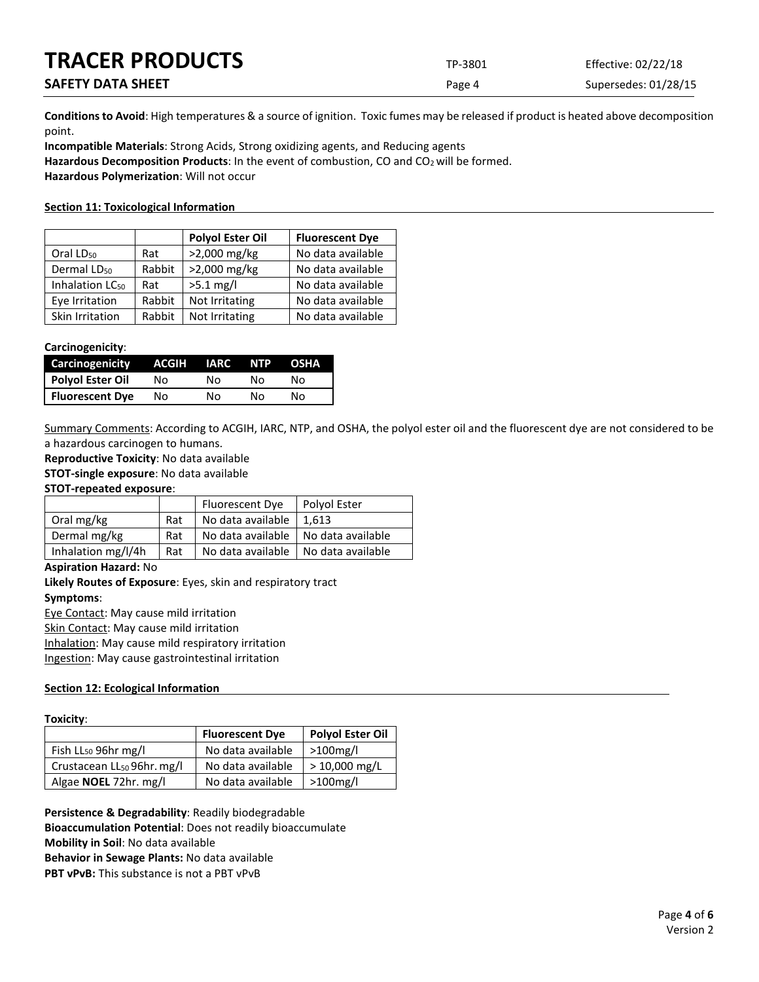| <b>TRACER PRODUCTS</b>   | TP-3801 | Effective: 02/22/18  |
|--------------------------|---------|----------------------|
| <b>SAFETY DATA SHEET</b> | Page 4  | Supersedes: 01/28/15 |

**Conditions to Avoid**: High temperatures & a source of ignition. Toxic fumes may be released if product is heated above decomposition point.

**Incompatible Materials**: Strong Acids, Strong oxidizing agents, and Reducing agents Hazardous Decomposition Products: In the event of combustion, CO and CO<sub>2</sub> will be formed. **Hazardous Polymerization**: Will not occur

#### **Section 11: Toxicological Information**

|                             |        | <b>Polyol Ester Oil</b> | <b>Fluorescent Dye</b> |
|-----------------------------|--------|-------------------------|------------------------|
| Oral LD <sub>50</sub>       | Rat    | >2,000 mg/kg            | No data available      |
| Dermal LD <sub>50</sub>     | Rabbit | >2,000 mg/kg            | No data available      |
| Inhalation LC <sub>50</sub> | Rat    | $>5.1$ mg/l             | No data available      |
| Eye Irritation              | Rabbit | Not Irritating          | No data available      |
| Skin Irritation             | Rabbit | Not Irritating          | No data available      |

#### **Carcinogenicity**:

| Carcinogenicity        | ACGIH | IARC | <b>NTP</b> | <b>OSHA</b> |
|------------------------|-------|------|------------|-------------|
| Polyol Ester Oil       | N٥    | N٥   | N٥         | N٥          |
| <b>Fluorescent Dye</b> | Nο    | N٥   | N٥         | No          |

Summary Comments: According to ACGIH, IARC, NTP, and OSHA, the polyol ester oil and the fluorescent dye are not considered to be a hazardous carcinogen to humans.

**Reproductive Toxicity**: No data available

**STOT-single exposure**: No data available

#### **STOT-repeated exposure**:

|                    |     | Fluorescent Dye   | Polyol Ester      |
|--------------------|-----|-------------------|-------------------|
| Oral mg/kg         | Rat | No data available | 1.613             |
| Dermal mg/kg       | Rat | No data available | No data available |
| Inhalation mg/l/4h | Rat | No data available | No data available |

#### **Aspiration Hazard:** No

**Likely Routes of Exposure**: Eyes, skin and respiratory tract **Symptoms**:

Eye Contact: May cause mild irritation

Skin Contact: May cause mild irritation

Inhalation: May cause mild respiratory irritation

Ingestion: May cause gastrointestinal irritation

#### **Section 12: Ecological Information**

#### **Toxicity**:

|                                        | <b>Fluorescent Dye</b> | <b>Polyol Ester Oil</b> |
|----------------------------------------|------------------------|-------------------------|
| Fish LL <sub>50</sub> 96hr mg/l        | No data available      | >100mg/l                |
| Crustacean LL <sub>50</sub> 96hr. mg/l | No data available      | $>$ 10,000 mg/L         |
| Algae <b>NOEL</b> 72hr. mg/l           | No data available      | >100mg/l                |

**Persistence & Degradability**: Readily biodegradable **Bioaccumulation Potential**: Does not readily bioaccumulate **Mobility in Soil**: No data available **Behavior in Sewage Plants:** No data available **PBT vPvB:** This substance is not a PBT vPvB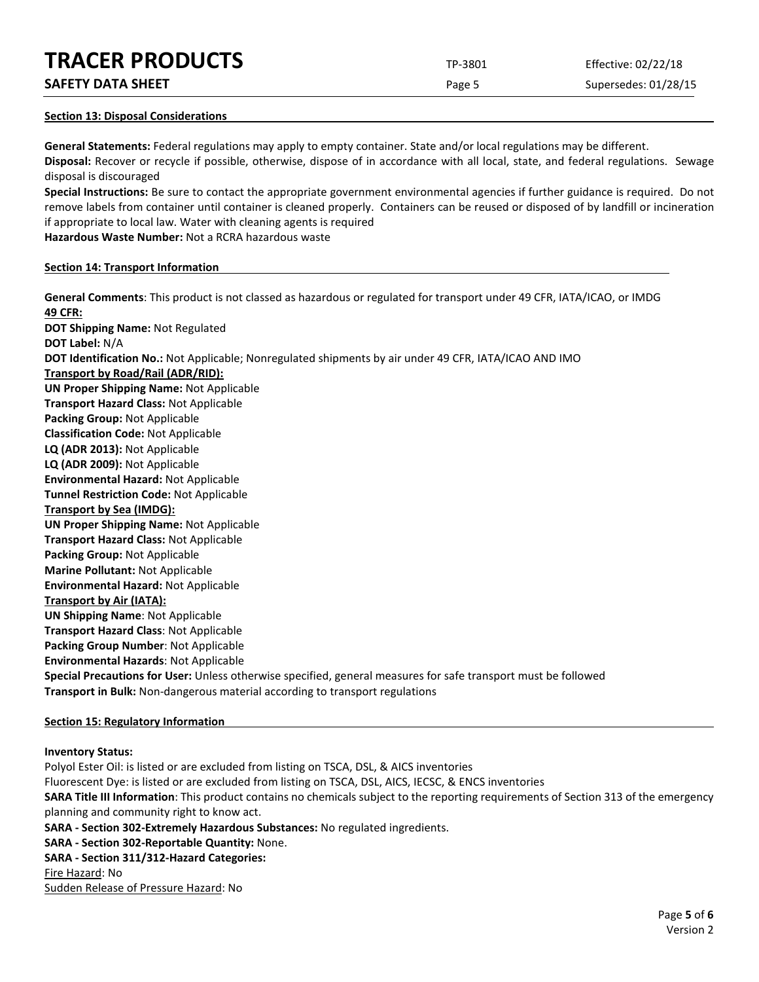**SAFETY DATA SHEET** SUPERFOUR CONSUMING THE Page 5 Supersedes: 01/28/15

#### **Section 13: Disposal Considerations**

**General Statements:** Federal regulations may apply to empty container. State and/or local regulations may be different. **Disposal:** Recover or recycle if possible, otherwise, dispose of in accordance with all local, state, and federal regulations. Sewage disposal is discouraged

**Special Instructions:** Be sure to contact the appropriate government environmental agencies if further guidance is required. Do not remove labels from container until container is cleaned properly. Containers can be reused or disposed of by landfill or incineration if appropriate to local law. Water with cleaning agents is required

**Hazardous Waste Number:** Not a RCRA hazardous waste

#### **Section 14: Transport Information**

**General Comments**: This product is not classed as hazardous or regulated for transport under 49 CFR, IATA/ICAO, or IMDG **49 CFR: DOT Shipping Name:** Not Regulated **DOT Label:** N/A **DOT Identification No.:** Not Applicable; Nonregulated shipments by air under 49 CFR, IATA/ICAO AND IMO **Transport by Road/Rail (ADR/RID): UN Proper Shipping Name:** Not Applicable **Transport Hazard Class:** Not Applicable **Packing Group:** Not Applicable **Classification Code:** Not Applicable **LQ (ADR 2013):** Not Applicable **LQ (ADR 2009):** Not Applicable **Environmental Hazard:** Not Applicable **Tunnel Restriction Code:** Not Applicable **Transport by Sea (IMDG): UN Proper Shipping Name:** Not Applicable **Transport Hazard Class:** Not Applicable **Packing Group:** Not Applicable **Marine Pollutant:** Not Applicable **Environmental Hazard:** Not Applicable **Transport by Air (IATA): UN Shipping Name**: Not Applicable **Transport Hazard Class**: Not Applicable **Packing Group Number**: Not Applicable **Environmental Hazards**: Not Applicable **Special Precautions for User:** Unless otherwise specified, general measures for safe transport must be followed **Transport in Bulk:** Non-dangerous material according to transport regulations

#### **Section 15: Regulatory Information**

#### **Inventory Status:**

Polyol Ester Oil: is listed or are excluded from listing on TSCA, DSL, & AICS inventories Fluorescent Dye: is listed or are excluded from listing on TSCA, DSL, AICS, IECSC, & ENCS inventories **SARA Title III Information**: This product contains no chemicals subject to the reporting requirements of Section 313 of the emergency planning and community right to know act. **SARA - Section 302-Extremely Hazardous Substances:** No regulated ingredients. **SARA - Section 302-Reportable Quantity:** None. **SARA - Section 311/312-Hazard Categories:** Fire Hazard: No Sudden Release of Pressure Hazard: No